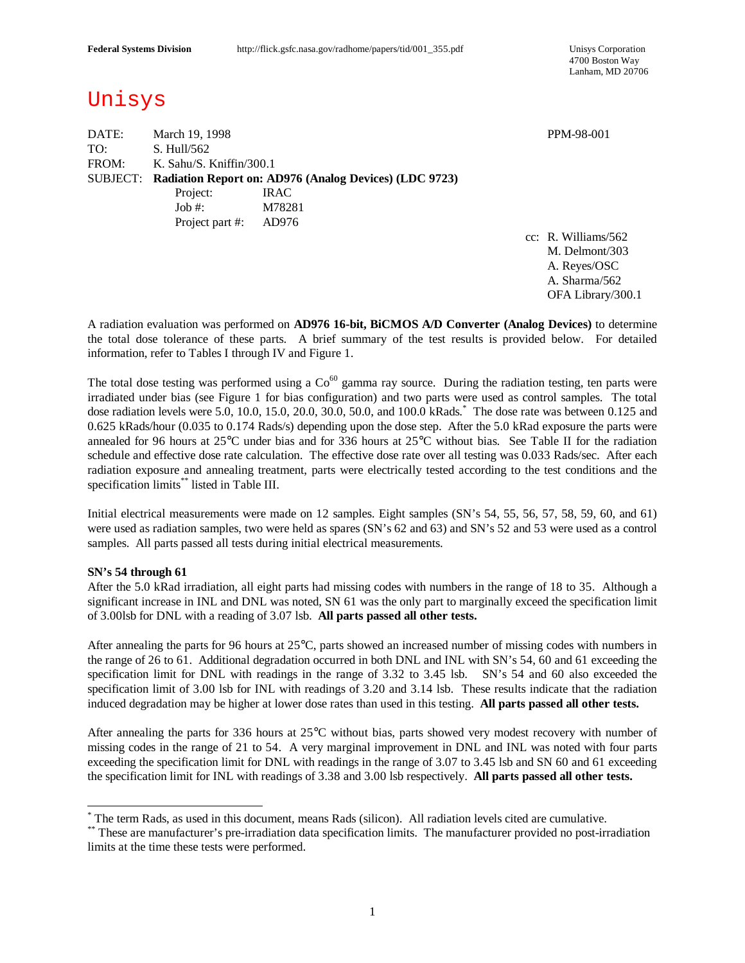4700 Boston Way Lanham, MD 20706

# Unisys

DATE: March 19, 1998 PPM-98-001 TO: S. Hull/562 FROM: K. Sahu/S. Kniffin/300.1 SUBJECT: **Radiation Report on: AD976 (Analog Devices) (LDC 9723)** Project: IRAC Job #: M78281 Project part #: AD976

cc: R. Williams/562 M. Delmont/303 A. Reyes/OSC A. Sharma/562 OFA Library/300.1

A radiation evaluation was performed on **AD976 16-bit, BiCMOS A/D Converter (Analog Devices)** to determine the total dose tolerance of these parts. A brief summary of the test results is provided below. For detailed information, refer to Tables I through IV and Figure 1.

The total dose testing was performed using a  $Co^{60}$  gamma ray source. During the radiation testing, ten parts were irradiated under bias (see Figure 1 for bias configuration) and two parts were used as control samples. The total dose radiation levels were 5.0, 10.0, 15.0, 20.0, 30.0, 50.0, and 100.0 kRads. \* The dose rate was between 0.125 and 0.625 kRads/hour (0.035 to 0.174 Rads/s) depending upon the dose step. After the 5.0 kRad exposure the parts were annealed for 96 hours at 25°C under bias and for 336 hours at 25°C without bias. See Table II for the radiation schedule and effective dose rate calculation. The effective dose rate over all testing was 0.033 Rads/sec. After each radiation exposure and annealing treatment, parts were electrically tested according to the test conditions and the specification limits\*\* listed in Table III.

Initial electrical measurements were made on 12 samples. Eight samples (SN's 54, 55, 56, 57, 58, 59, 60, and 61) were used as radiation samples, two were held as spares (SN's 62 and 63) and SN's 52 and 53 were used as a control samples. All parts passed all tests during initial electrical measurements.

#### **SN's 54 through 61**

 $\overline{\phantom{a}}$ 

After the 5.0 kRad irradiation, all eight parts had missing codes with numbers in the range of 18 to 35. Although a significant increase in INL and DNL was noted, SN 61 was the only part to marginally exceed the specification limit of 3.00lsb for DNL with a reading of 3.07 lsb. **All parts passed all other tests.**

After annealing the parts for 96 hours at 25°C, parts showed an increased number of missing codes with numbers in the range of 26 to 61. Additional degradation occurred in both DNL and INL with SN's 54, 60 and 61 exceeding the specification limit for DNL with readings in the range of 3.32 to 3.45 lsb. SN's 54 and 60 also exceeded the specification limit of 3.00 lsb for INL with readings of 3.20 and 3.14 lsb. These results indicate that the radiation induced degradation may be higher at lower dose rates than used in this testing. **All parts passed all other tests.**

After annealing the parts for 336 hours at 25°C without bias, parts showed very modest recovery with number of missing codes in the range of 21 to 54. A very marginal improvement in DNL and INL was noted with four parts exceeding the specification limit for DNL with readings in the range of 3.07 to 3.45 lsb and SN 60 and 61 exceeding the specification limit for INL with readings of 3.38 and 3.00 lsb respectively. **All parts passed all other tests.**

<sup>\*</sup> The term Rads, as used in this document, means Rads (silicon). All radiation levels cited are cumulative.

<sup>\*\*</sup> These are manufacturer's pre-irradiation data specification limits. The manufacturer provided no post-irradiation limits at the time these tests were performed.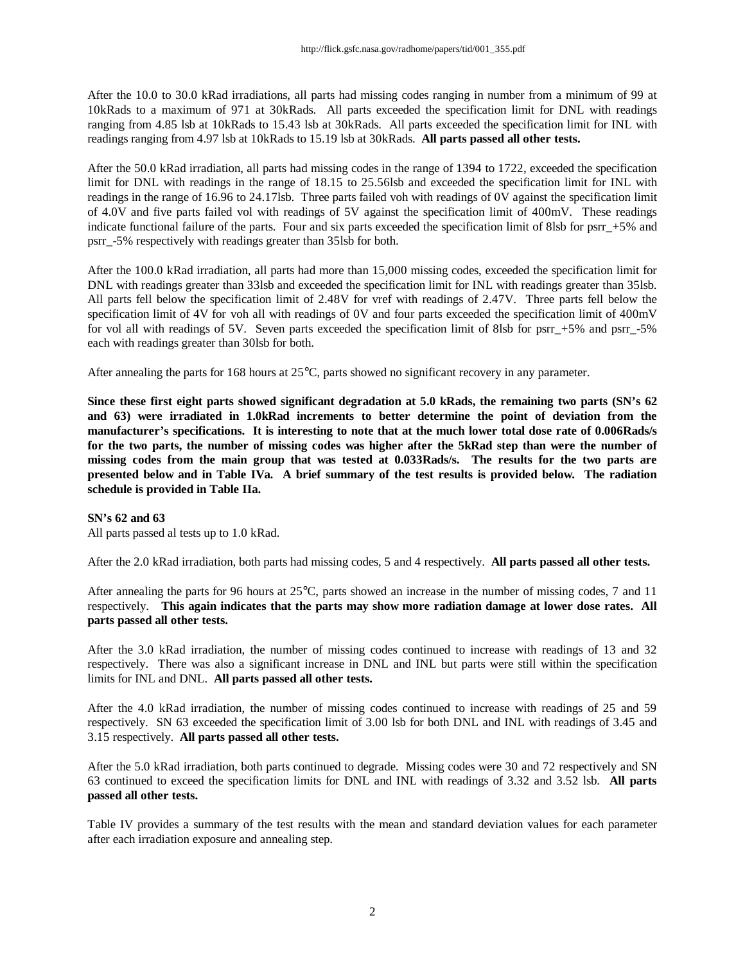After the 10.0 to 30.0 kRad irradiations, all parts had missing codes ranging in number from a minimum of 99 at 10kRads to a maximum of 971 at 30kRads. All parts exceeded the specification limit for DNL with readings ranging from 4.85 lsb at 10kRads to 15.43 lsb at 30kRads. All parts exceeded the specification limit for INL with readings ranging from 4.97 lsb at 10kRads to 15.19 lsb at 30kRads. **All parts passed all other tests.**

After the 50.0 kRad irradiation, all parts had missing codes in the range of 1394 to 1722, exceeded the specification limit for DNL with readings in the range of 18.15 to 25.56lsb and exceeded the specification limit for INL with readings in the range of 16.96 to 24.17lsb. Three parts failed voh with readings of 0V against the specification limit of 4.0V and five parts failed vol with readings of 5V against the specification limit of 400mV. These readings indicate functional failure of the parts. Four and six parts exceeded the specification limit of 8lsb for psrr\_+5% and psrr\_-5% respectively with readings greater than 35lsb for both.

After the 100.0 kRad irradiation, all parts had more than 15,000 missing codes, exceeded the specification limit for DNL with readings greater than 33lsb and exceeded the specification limit for INL with readings greater than 35lsb. All parts fell below the specification limit of 2.48V for vref with readings of 2.47V. Three parts fell below the specification limit of 4V for voh all with readings of 0V and four parts exceeded the specification limit of 400mV for vol all with readings of 5V. Seven parts exceeded the specification limit of 8lsb for psrr  $+5\%$  and psrr  $-5\%$ each with readings greater than 30lsb for both.

After annealing the parts for 168 hours at 25°C, parts showed no significant recovery in any parameter.

**Since these first eight parts showed significant degradation at 5.0 kRads, the remaining two parts (SN's 62 and 63) were irradiated in 1.0kRad increments to better determine the point of deviation from the manufacturer's specifications. It is interesting to note that at the much lower total dose rate of 0.006Rads/s for the two parts, the number of missing codes was higher after the 5kRad step than were the number of missing codes from the main group that was tested at 0.033Rads/s. The results for the two parts are presented below and in Table IVa. A brief summary of the test results is provided below. The radiation schedule is provided in Table IIa.**

#### **SN's 62 and 63**

All parts passed al tests up to 1.0 kRad.

After the 2.0 kRad irradiation, both parts had missing codes, 5 and 4 respectively. **All parts passed all other tests.**

After annealing the parts for 96 hours at 25°C, parts showed an increase in the number of missing codes, 7 and 11 respectively. **This again indicates that the parts may show more radiation damage at lower dose rates. All parts passed all other tests.**

After the 3.0 kRad irradiation, the number of missing codes continued to increase with readings of 13 and 32 respectively. There was also a significant increase in DNL and INL but parts were still within the specification limits for INL and DNL. **All parts passed all other tests.**

After the 4.0 kRad irradiation, the number of missing codes continued to increase with readings of 25 and 59 respectively. SN 63 exceeded the specification limit of 3.00 lsb for both DNL and INL with readings of 3.45 and 3.15 respectively. **All parts passed all other tests.**

After the 5.0 kRad irradiation, both parts continued to degrade. Missing codes were 30 and 72 respectively and SN 63 continued to exceed the specification limits for DNL and INL with readings of 3.32 and 3.52 lsb. **All parts passed all other tests.**

Table IV provides a summary of the test results with the mean and standard deviation values for each parameter after each irradiation exposure and annealing step.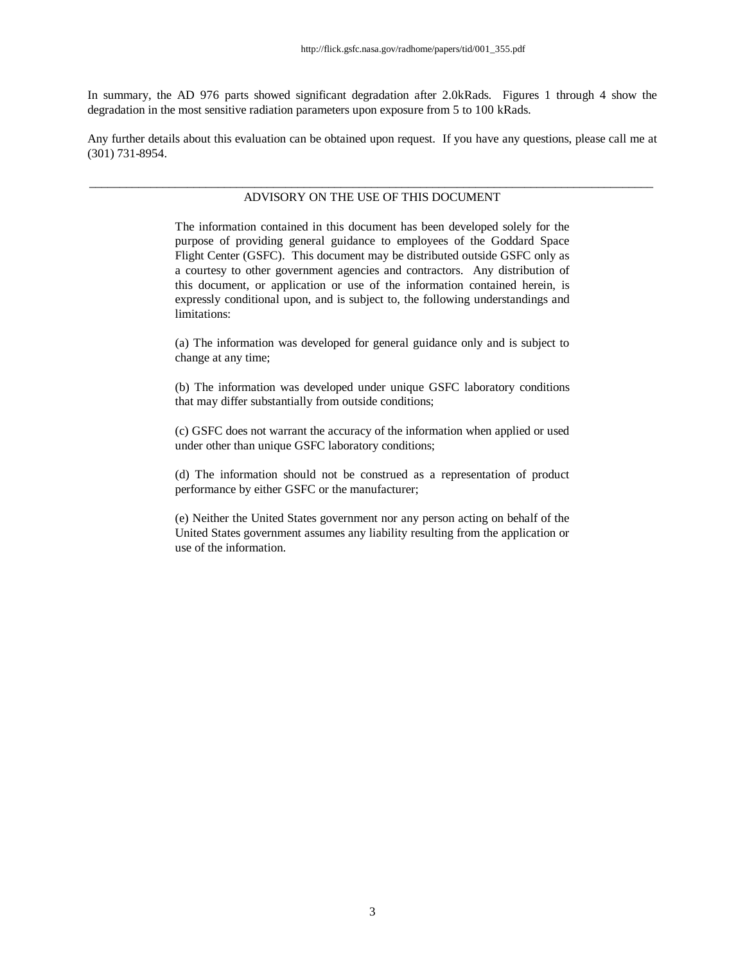In summary, the AD 976 parts showed significant degradation after 2.0kRads. Figures 1 through 4 show the degradation in the most sensitive radiation parameters upon exposure from 5 to 100 kRads.

Any further details about this evaluation can be obtained upon request. If you have any questions, please call me at (301) 731-8954.

#### \_\_\_\_\_\_\_\_\_\_\_\_\_\_\_\_\_\_\_\_\_\_\_\_\_\_\_\_\_\_\_\_\_\_\_\_\_\_\_\_\_\_\_\_\_\_\_\_\_\_\_\_\_\_\_\_\_\_\_\_\_\_\_\_\_\_\_\_\_\_\_\_\_\_\_\_\_\_\_\_\_\_\_\_\_\_\_\_\_\_\_\_ ADVISORY ON THE USE OF THIS DOCUMENT

The information contained in this document has been developed solely for the purpose of providing general guidance to employees of the Goddard Space Flight Center (GSFC). This document may be distributed outside GSFC only as a courtesy to other government agencies and contractors. Any distribution of this document, or application or use of the information contained herein, is expressly conditional upon, and is subject to, the following understandings and limitations:

(a) The information was developed for general guidance only and is subject to change at any time;

(b) The information was developed under unique GSFC laboratory conditions that may differ substantially from outside conditions;

(c) GSFC does not warrant the accuracy of the information when applied or used under other than unique GSFC laboratory conditions;

(d) The information should not be construed as a representation of product performance by either GSFC or the manufacturer;

(e) Neither the United States government nor any person acting on behalf of the United States government assumes any liability resulting from the application or use of the information.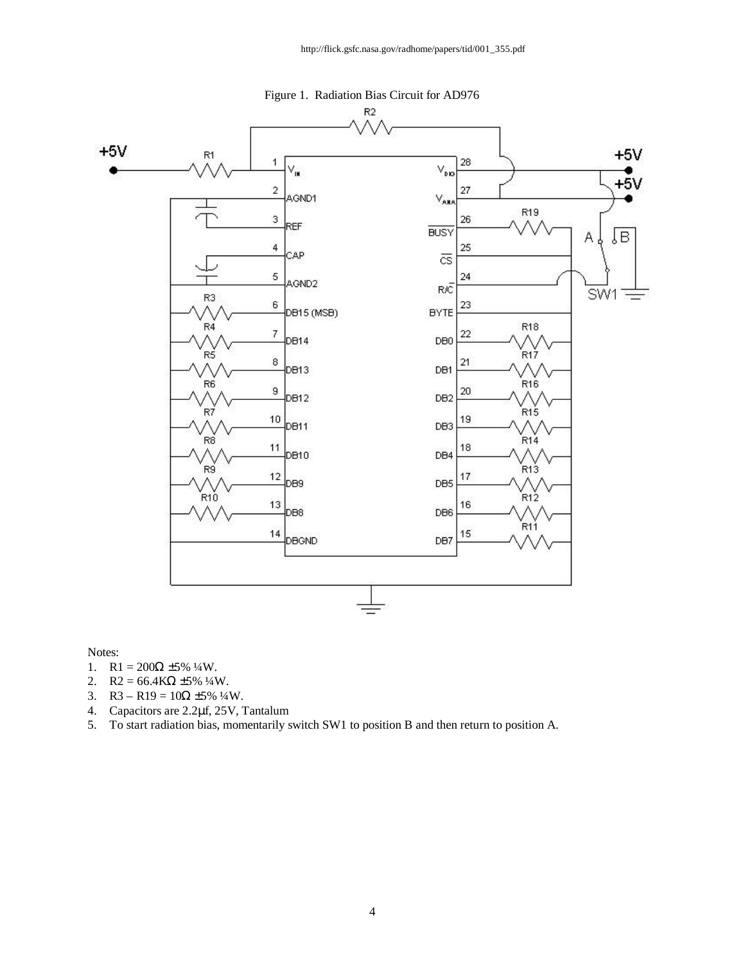

Notes:

- 1. R1 =  $200\Omega \pm 5\%$  ¼W.
- 2.  $R2 = 66.4K\Omega \pm 5\% 1/4W$ .
- 3. R3 R19 =  $10\Omega \pm 5\%$ <sup>1</sup>/<sub>4</sub>W.
- 4. Capacitors are 2.2μf, 25V, Tantalum
- 5. To start radiation bias, momentarily switch SW1 to position B and then return to position A.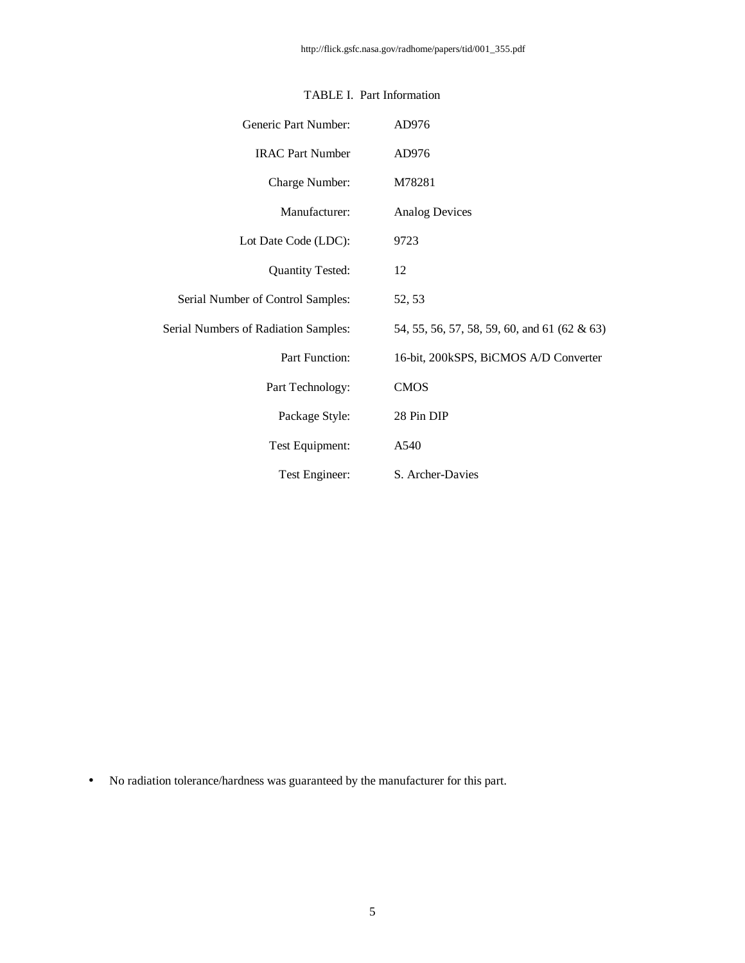| Generic Part Number:                 | AD976                                        |
|--------------------------------------|----------------------------------------------|
| <b>IRAC Part Number</b>              | AD976                                        |
| Charge Number:                       | M78281                                       |
| Manufacturer:                        | <b>Analog Devices</b>                        |
| Lot Date Code (LDC):                 | 9723                                         |
| <b>Quantity Tested:</b>              | 12                                           |
| Serial Number of Control Samples:    | 52, 53                                       |
| Serial Numbers of Radiation Samples: | 54, 55, 56, 57, 58, 59, 60, and 61 (62 & 63) |
| Part Function:                       | 16-bit, 200kSPS, BiCMOS A/D Converter        |
| Part Technology:                     | <b>CMOS</b>                                  |
| Package Style:                       | 28 Pin DIP                                   |
| Test Equipment:                      | A540                                         |
| Test Engineer:                       | S. Archer-Davies                             |

#### TABLE I. Part Information

• No radiation tolerance/hardness was guaranteed by the manufacturer for this part.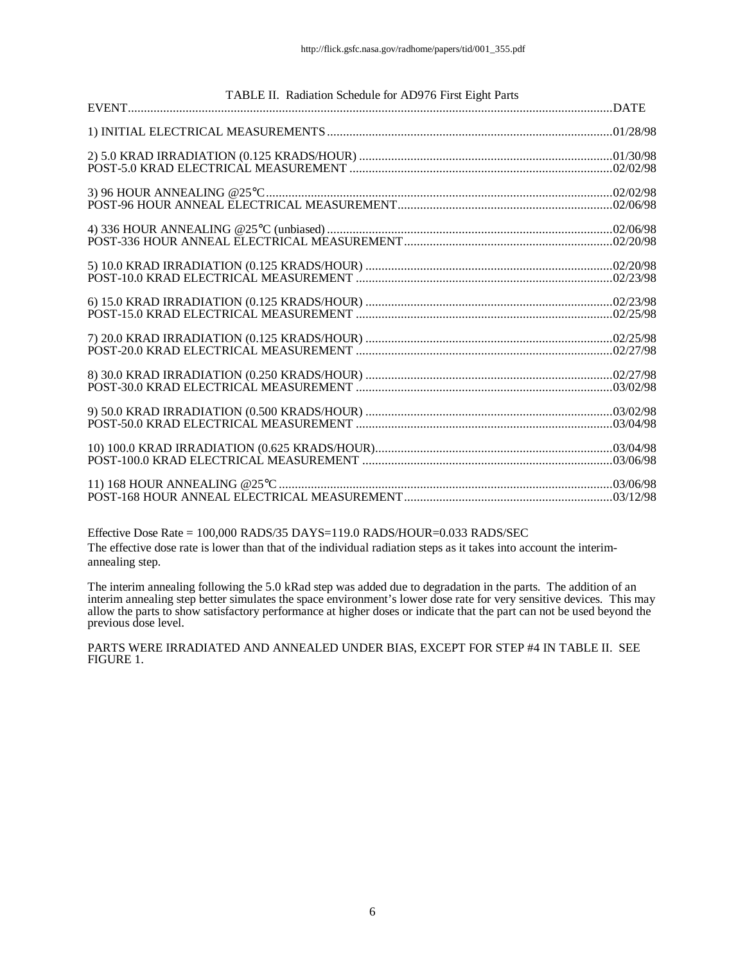|  | TABLE II. Radiation Schedule for AD976 First Eight Parts |  |
|--|----------------------------------------------------------|--|
|  |                                                          |  |
|  |                                                          |  |
|  |                                                          |  |
|  |                                                          |  |
|  |                                                          |  |
|  |                                                          |  |
|  |                                                          |  |
|  |                                                          |  |
|  |                                                          |  |
|  |                                                          |  |
|  |                                                          |  |

Effective Dose Rate = 100,000 RADS/35 DAYS=119.0 RADS/HOUR=0.033 RADS/SEC The effective dose rate is lower than that of the individual radiation steps as it takes into account the interimannealing step.

The interim annealing following the 5.0 kRad step was added due to degradation in the parts. The addition of an interim annealing step better simulates the space environment's lower dose rate for very sensitive devices. This may allow the parts to show satisfactory performance at higher doses or indicate that the part can not be used beyond the previous dose level.

PARTS WERE IRRADIATED AND ANNEALED UNDER BIAS, EXCEPT FOR STEP #4 IN TABLE II. SEE FIGURE 1.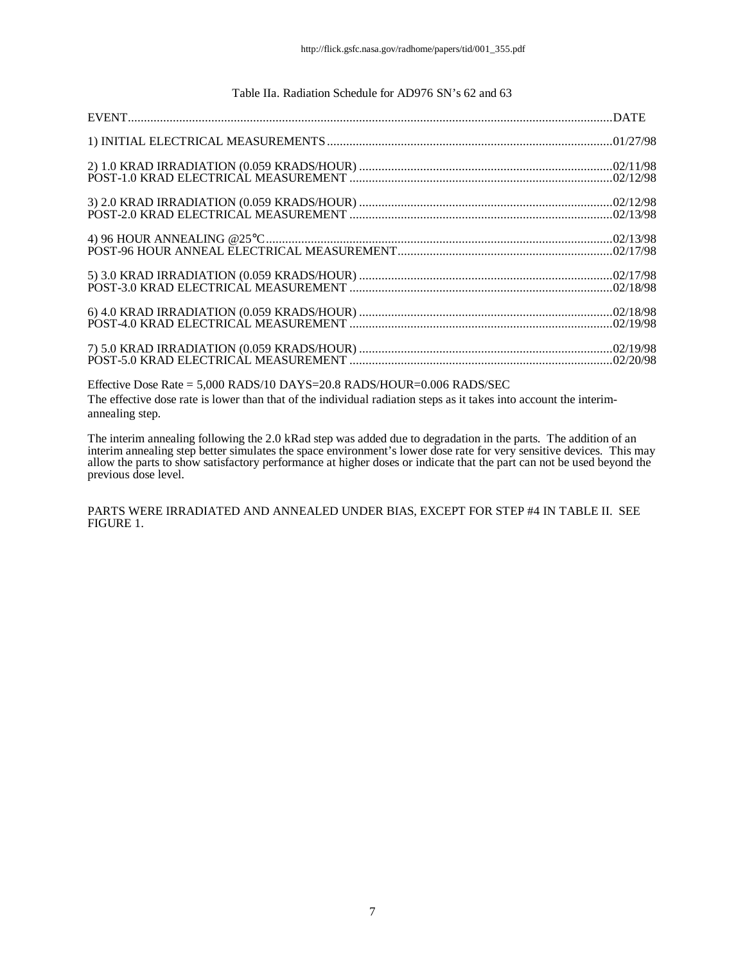#### Table IIa. Radiation Schedule for AD976 SN's 62 and 63

Effective Dose Rate = 5,000 RADS/10 DAYS=20.8 RADS/HOUR=0.006 RADS/SEC The effective dose rate is lower than that of the individual radiation steps as it takes into account the interimannealing step.

The interim annealing following the 2.0 kRad step was added due to degradation in the parts. The addition of an interim annealing step better simulates the space environment's lower dose rate for very sensitive devices. This may allow the parts to show satisfactory performance at higher doses or indicate that the part can not be used beyond the previous dose level.

PARTS WERE IRRADIATED AND ANNEALED UNDER BIAS, EXCEPT FOR STEP #4 IN TABLE II. SEE FIGURE 1.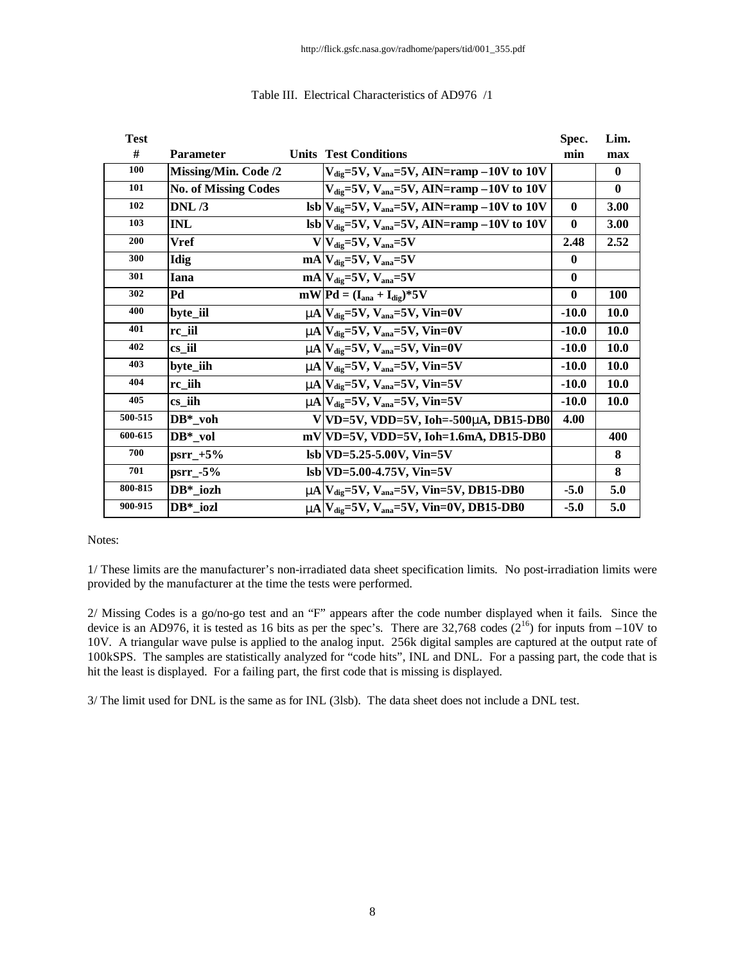| <b>Test</b> |                             |                                                                                               | Spec.    | Lim.        |
|-------------|-----------------------------|-----------------------------------------------------------------------------------------------|----------|-------------|
| #           | <b>Parameter</b>            | <b>Units Test Conditions</b>                                                                  | min      | max         |
| 100         | <b>Missing/Min. Code /2</b> | $V_{\text{dig}}$ =5V, $V_{\text{ana}}$ =5V, AIN=ramp -10V to 10V                              |          | $\bf{0}$    |
| 101         | <b>No. of Missing Codes</b> | $V_{\text{die}}=5V$ , $V_{\text{ana}}=5V$ , AIN=ramp -10V to 10V                              |          | $\bf{0}$    |
| 102         | DNL/3                       | $\text{lsb} V_{\text{dig}}=5V, V_{\text{ana}}=5V, \text{AIN}=\text{ramp}-10V \text{ to } 10V$ | $\bf{0}$ | 3.00        |
| 103         | <b>INL</b>                  | $\text{lsb} V_{\text{dig}}=5V, V_{\text{ana}}=5V, \text{AIN}=\text{ramp}-10V \text{ to } 10V$ | $\bf{0}$ | 3.00        |
| 200         | <b>Vref</b>                 | $V V_{diq}=5V, V_{ana}=5V$                                                                    | 2.48     | 2.52        |
| 300         | Idig                        | $mA$ <sub>dig</sub> =5V, $V_{ana}$ =5V                                                        | $\bf{0}$ |             |
| 301         | <b>Iana</b>                 | $mA$ <sub>Udig</sub> =5V, V <sub>ana</sub> =5V                                                | $\bf{0}$ |             |
| 302         | Pd                          | $mW Pd = (Iana + Idie)*5V$                                                                    | $\bf{0}$ | 100         |
| 400         | byte_iil                    | $mA$ $V_{\text{dig}}$ =5V, $V_{\text{ana}}$ =5V, Vin=0V                                       | $-10.0$  | 10.0        |
| 401         | rc_iil                      | $mA$ $V_{\text{dig}}$ =5V, $V_{\text{ana}}$ =5V, Vin=0V                                       | $-10.0$  | <b>10.0</b> |
| 402         | cs_iil                      | $mN$ $V_{\text{die}} = 5V$ , $V_{\text{ana}} = 5V$ , $V_{\text{in}} = 0V$                     | $-10.0$  | <b>10.0</b> |
| 403         | byte_iih                    | $mN$ $V_{\text{dig}}$ =5V, $V_{\text{ana}}$ =5V, Vin=5V                                       | $-10.0$  | <b>10.0</b> |
| 404         | rc iih                      | $mA$ $V_{\text{dig}}$ =5V, $V_{\text{ana}}$ =5V, Vin=5V                                       | $-10.0$  | <b>10.0</b> |
| 405         | cs iih                      | $mN$ $V_{\text{die}} = 5V$ , $V_{\text{ana}} = 5V$ , $V_{\text{in}} = 5V$                     | $-10.0$  | <b>10.0</b> |
| 500-515     | $DB^*$ _voh                 | $V VD=5V, VDD=5V, Ioh=-500mA, DB15-DB0$                                                       | 4.00     |             |
| 600-615     | $DB^*$ vol                  | $mV VD=5V$ , VDD=5V, Ioh=1.6mA, DB15-DB0                                                      |          | 400         |
| 700         | $psrr_{-}+5%$               | $\text{lsb}$ VD=5.25-5.00V, Vin=5V                                                            |          | 8           |
| 701         | $psrr_{-}$ -5%              | $\text{lsb}$ VD=5.00-4.75V, Vin=5V                                                            |          | 8           |
| 800-815     | DB* iozh                    | $m\Lambda$ $V_{\text{dig}}$ =5V, $V_{\text{ana}}$ =5V, Vin=5V, DB15-DB0                       | $-5.0$   | 5.0         |
| 900-915     | DB* iozl                    | $mN$ $V_{\text{die}}$ =5V, $V_{\text{ana}}$ =5V, Vin=0V, DB15-DB0                             | $-5.0$   | 5.0         |

#### Table III. Electrical Characteristics of AD976 /1

#### Notes:

1/ These limits are the manufacturer's non-irradiated data sheet specification limits. No post-irradiation limits were provided by the manufacturer at the time the tests were performed.

2/ Missing Codes is a go/no-go test and an "F" appears after the code number displayed when it fails. Since the device is an AD976, it is tested as 16 bits as per the spec's. There are 32,768 codes  $(2^{16})$  for inputs from  $-10V$  to 10V. A triangular wave pulse is applied to the analog input. 256k digital samples are captured at the output rate of 100kSPS. The samples are statistically analyzed for "code hits", INL and DNL. For a passing part, the code that is hit the least is displayed. For a failing part, the first code that is missing is displayed.

3/ The limit used for DNL is the same as for INL (3lsb). The data sheet does not include a DNL test.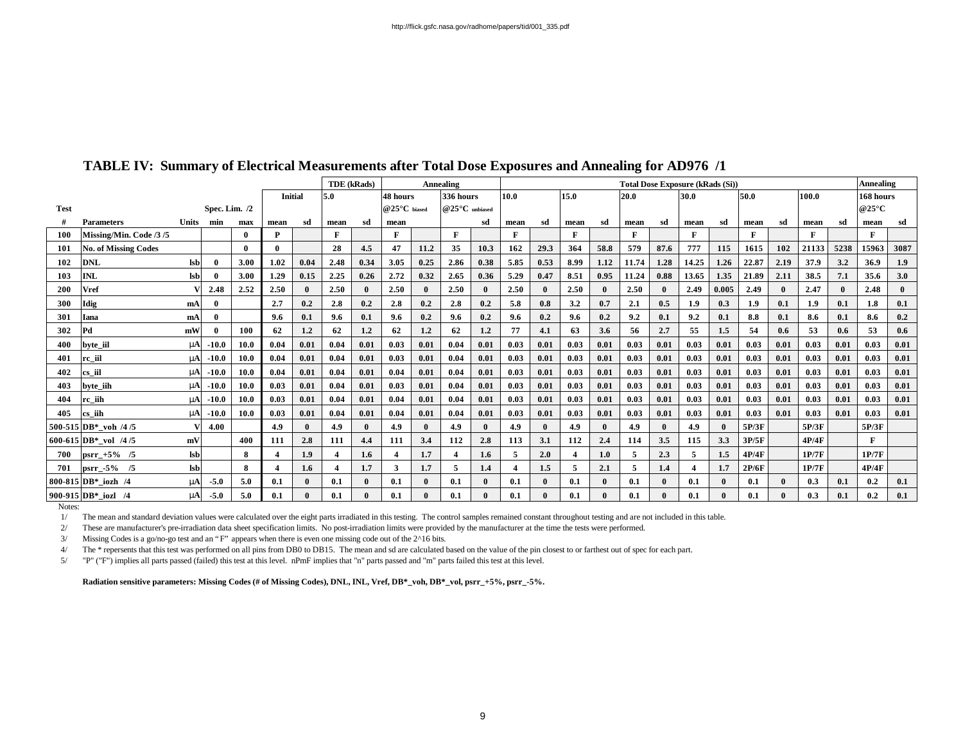|             |                             |              |                 |              |                |              | <b>TDE</b> (kRads) |              |                |                       | <b>Annealing</b>        |      | <b>Total Dose Exposure (kRads (Si))</b> |              |                         |      |              |      |       |              |       |              |       |              | Annealing                |              |
|-------------|-----------------------------|--------------|-----------------|--------------|----------------|--------------|--------------------|--------------|----------------|-----------------------|-------------------------|------|-----------------------------------------|--------------|-------------------------|------|--------------|------|-------|--------------|-------|--------------|-------|--------------|--------------------------|--------------|
|             |                             |              |                 |              | <b>Initial</b> |              | 5.0                |              |                | 336 hours<br>48 hours |                         |      |                                         | 15.0<br>10.0 |                         |      | 30.0<br>20.0 |      |       |              | 50.0  |              | 100.0 |              | 168 hours                |              |
| <b>Test</b> |                             |              | Spec. Lim. $/2$ |              |                |              |                    |              | $@25°C$ biased |                       | $@25°C$ unbiased        |      |                                         |              |                         |      |              |      |       |              |       |              |       |              | @25 $\mathrm{^{\circ}C}$ |              |
| #           | <b>Parameters</b>           | <b>Units</b> | min             | max          | mean           | sd           | mean               | sd           | mean           |                       |                         | sd   | mean                                    | sd           | mean                    | sd   | mean         | sd   | mean  | sd           | mean  | sd           | mean  | sd           | mean                     | sd           |
| <b>100</b>  | Missing/Min. Code /3/5      |              |                 | $\mathbf{0}$ | P              |              | F                  |              | F              |                       | F                       |      | F                                       |              | F                       |      | $\mathbf{F}$ |      | F     |              | F     |              | F     |              |                          |              |
| 101         | <b>No. of Missing Codes</b> |              |                 | 0            |                |              | 28                 | 4.5          | 47             | 11.2                  | 35                      | 10.3 | 162                                     | 29.3         | 364                     | 58.8 | 579          | 87.6 | 777   | 115          | 1615  | 102          | 21133 | 5238         | 15963                    | 3087         |
| 102         | <b>DNL</b>                  | <b>lsb</b>   | $\mathbf{0}$    | 3.00         | 1.02           | 0.04         | 2.48               | 0.34         | 3.05           | 0.25                  | 2.86                    | 0.38 | 5.85                                    | 0.53         | 8.99                    | 1.12 | 11.74        | 1.28 | 14.25 | 1.26         | 22.87 | 2.19         | 37.9  | 3.2          | 36.9                     | 1.9          |
| 103         | <b>INL</b>                  | lsb          |                 | 3.00         | 1.29           | 0.15         | 2.25               | 0.26         | 2.72           | 0.32                  | 2.65                    | 0.36 | 5.29                                    | 0.47         | 8.51                    | 0.95 | 11.24        | 0.88 | 13.65 | 1.35         | 21.89 | 2.11         | 38.5  | 7.1          | 35.6                     | 3.0          |
| 200         | <b>Vref</b>                 |              | 2.48            | 2.52         | 2.50           | $\mathbf{0}$ | 2.50               | $\mathbf{0}$ | 2.50           | $\mathbf{0}$          | 2.50                    |      | 2.50                                    |              | 2.50                    |      | 2.50         |      | 2.49  | 0.005        | 2.49  | $\mathbf{0}$ | 2.47  | $\mathbf{0}$ | 2.48                     | $\mathbf{0}$ |
| 300         | Idig                        | mA           | $\Omega$        |              | 2.7            | 0.2          | 2.8                | 0.2          | 2.8            | 0.2                   | 2.8                     | 0.2  | 5.8                                     | 0.8          | 3.2                     | 0.7  | 2.1          | 0.5  | 1.9   | 0.3          | 1.9   | 0.1          | 1.9   | 0.1          | 1.8                      | 0.1          |
| 301         | Iana                        | mA           | $\mathbf{0}$    |              | 9.6            | 0.1          | $9.6^{\circ}$      | 0.1          | $9.6^{\circ}$  | 0.2                   | 9.6                     | 0.2  | 9.6                                     | 0.2          | 9.6                     | 0.2  | 9.2          | 0.1  | 9.2   | 0.1          | 8.8   | 0.1          | 8.6   | 0.1          | 8.6                      | 0.2          |
| 302         | Pd                          | mW           |                 | 100          | 62             | 1.2          | 62                 | 1.2          | 62             | 1.2                   | 62                      | 1.2  | 77                                      | 4.1          | 63                      | 3.6  | 56           | 2.7  | 55    | 1.5          | 54    | 0.6          | 53    | 0.6          | 53                       | 0.6          |
| 400         | byte_iil                    | mA           | $-10.0$         | 10.0         | 0.04           | 0.01         | 0.04               | 0.01         | 0.03           | 0.01                  | 0.04                    | 0.01 | 0.03                                    | 0.01         | 0.03                    | 0.01 | 0.03         | 0.01 | 0.03  | 0.01         | 0.03  | 0.01         | 0.03  | 0.01         | 0.03                     | 0.01         |
| 401         | rc iil                      | mA           | $-10.0$         | 10.0         | 0.04           | 0.01         | 0.04               | 0.01         | 0.03           | 0.01                  | 0.04                    | 0.01 | 0.03                                    | 0.01         | 0.03                    | 0.01 | 0.03         | 0.01 | 0.03  | 0.01         | 0.03  | 0.01         | 0.03  | 0.01         | 0.03                     | 0.01         |
| 402         | cs iil                      | mA           | $-10.0$         | 10.0         | 0.04           | 0.01         | 0.04               | 0.01         | 0.04           | 0.01                  | 0.04                    | 0.01 | 0.03                                    | 0.01         | 0.03                    | 0.01 | 0.03         | 0.01 | 0.03  | 0.01         | 0.03  | 0.01         | 0.03  | 0.01         | 0.03                     | 0.01         |
| 403         | byte_iih                    | mA           | $-10.0$         | 10.0         | 0.03           | 0.01         | 0.04               | 0.01         | 0.03           | 0.01                  | 0.04                    | 0.01 | 0.03                                    | 0.01         | 0.03                    | 0.01 | 0.03         | 0.01 | 0.03  | 0.01         | 0.03  | 0.01         | 0.03  | 0.01         | 0.03                     | 0.01         |
| 404         | rc iih                      | mA           | $-10.0$         | 10.0         | 0.03           | 0.01         | 0.04               | 0.01         | 0.04           | 0.01                  | 0.04                    | 0.01 | 0.03                                    | 0.01         | 0.03                    | 0.01 | 0.03         | 0.01 | 0.03  | 0.01         | 0.03  | 0.01         | 0.03  | 0.01         | 0.03                     | 0.01         |
| 405         | cs iih                      | mA           | $-10.0$         | 10.0         | 0.03           | 0.01         | 0.04               | 0.01         | 0.04           | 0.01                  | 0.04                    | 0.01 | 0.03                                    | 0.01         | 0.03                    | 0.01 | 0.03         | 0.01 | 0.03  | 0.01         | 0.03  | 0.01         | 0.03  | 0.01         | 0.03                     | 0.01         |
|             | 500-515 DB* voh /4/5        |              | 4.00            |              | 4.9            | $\mathbf{0}$ | 4.9                | $\theta$     | 4.9            | $\mathbf{0}$          | 4.9                     |      | 4.9                                     |              | 4.9                     |      | 4.9          |      | 4.9   | $\mathbf{0}$ | 5P/3F |              | 5P/3F |              | 5P/3F                    |              |
|             | 600-615 DB* vol $/4/5$      | mV           |                 | 400          | 111            | 2.8          | 111                | 4.4          | 111            | 3.4                   | 112                     | 2.8  | 113                                     | 3.1          | 112                     | 2.4  | 114          | 3.5  | 115   | 3.3          | 3P/5F |              | 4P/4F |              | F                        |              |
| 700         | $psrr_{-}+5%$ /5            | <b>lsb</b>   |                 | 8            |                | 1.9          |                    | 1.6          |                | 1.7                   | $\overline{\mathbf{4}}$ | 1.6  | $\overline{5}$                          | 2.0          | $\overline{\mathbf{4}}$ | 1.0  | 5            | 2.3  | 5     | 1.5          | 4P/4F |              | 1P/7F |              | 1P/7F                    |              |
| 701         | psrr $-5\%$ /5              | <b>lsb</b>   |                 | 8            |                | 1.6          |                    | 1.7          | 3              | 1.7                   | 5                       | 1.4  | $\boldsymbol{4}$                        | 1.5          | 5                       | 2.1  |              | 1.4  |       | 1.7          | 2P/6F |              | 1P/7F |              | 4P/4F                    |              |
|             | 800-815 DB* iozh /4         | mA           | $-5.0$          | 5.0          | 0.1            | $\mathbf{0}$ | 0.1                | $\mathbf{0}$ | 0.1            | $\mathbf{0}$          | 0.1                     |      | 0.1                                     |              | 0.1                     |      | 0.1          |      | 0.1   | $\mathbf{0}$ | 0.1   | $\Omega$     | 0.3   | 0.1          | 0.2                      | 0.1          |
|             | 900-915 DB* iozl /4         | mA           | $-5.0$          | 5.0          | 0.1            | $\mathbf{0}$ | $0.1\,$            | $\mathbf{0}$ | 0.1            | $\mathbf{0}$          | 0.1                     |      | 0.1                                     |              | 0.1                     |      | 0.1          |      | 0.1   | $\mathbf{0}$ | 0.1   |              | 0.3   | 0.1          | 0.2                      | 0.1          |

#### **TABLE IV: Summary of Electrical Measurements after Total Dose Exposures and Annealing for AD976 /1**

Notes:

1/ The mean and standard deviation values were calculated over the eight parts irradiated in this testing. The control samples remained constant throughout testing and are not included in this table.

2/ These are manufacturer's pre-irradiation data sheet specification limits. No post-irradiation limits were provided by the manufacturer at the time the tests were performed.

3/ Missing Codes is a go/no-go test and an "F" appears when there is even one missing code out of the 2^16 bits.

4/ The \* repersents that this test was performed on all pins from DB0 to DB15. The mean and sd are calculated based on the value of the pin closest to or farthest out of spec for each part.

5/ "P" ("F") implies all parts passed (failed) this test at this level. nPmF implies that "n" parts passed and "m" parts failed this test at this level.

**Radiation sensitive parameters: Missing Codes (# of Missing Codes), DNL, INL, Vref, DB\*\_voh, DB\*\_vol, psrr\_+5%, psrr\_-5%.**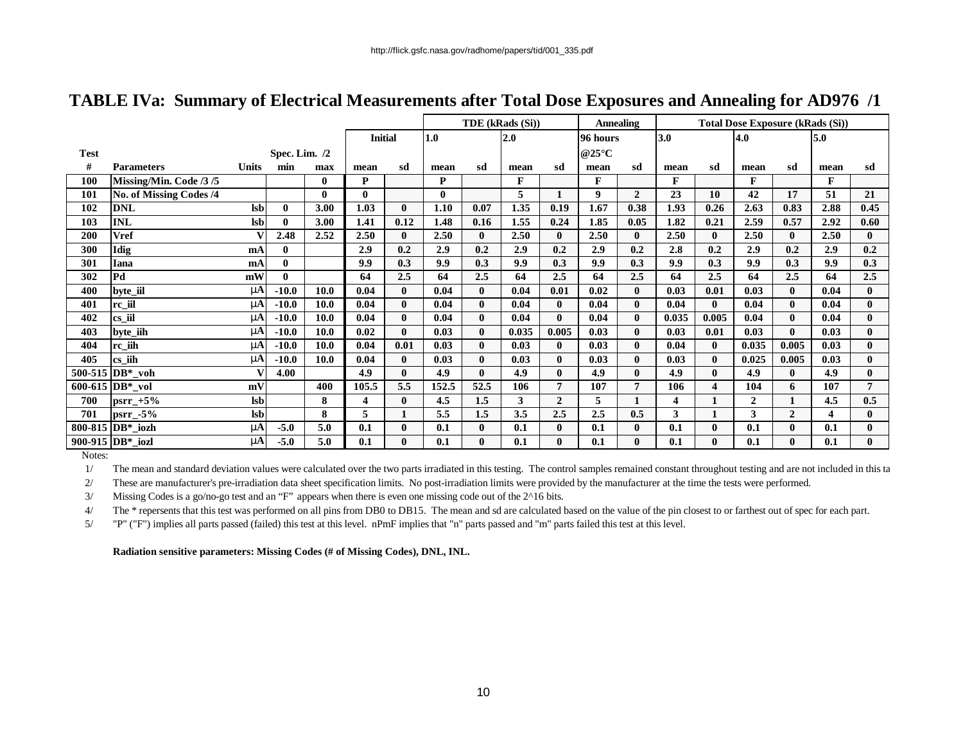|             |                         |                |                 |              |                |              |       |              | TDE (kRads (Si)) |                | <b>Annealing</b>         |                | <b>Total Dose Exposure (kRads (Si))</b> |              |                |              |      |                |  |
|-------------|-------------------------|----------------|-----------------|--------------|----------------|--------------|-------|--------------|------------------|----------------|--------------------------|----------------|-----------------------------------------|--------------|----------------|--------------|------|----------------|--|
|             |                         |                |                 |              | <b>Initial</b> |              | 1.0   |              | 2.0              |                | 96 hours                 |                | 3.0                                     |              | 4.0            |              | 5.0  |                |  |
| <b>Test</b> |                         |                | Spec. Lim. $/2$ |              |                |              |       |              |                  |                | @25 $\mathrm{^{\circ}C}$ |                |                                         |              |                |              |      |                |  |
| #           | <b>Parameters</b>       | <b>Units</b>   | min             | max          | mean           | sd           | mean  | sd           | mean             | sd             | mean                     | sd             | mean                                    | sd           | mean           | sd           | mean | sd             |  |
| 100         | Missing/Min. Code /3/5  |                |                 | $\bf{0}$     | P              |              | P     |              | F                |                | F                        |                | F                                       |              | F              |              | F    |                |  |
| 101         | No. of Missing Codes /4 |                |                 | $\mathbf{0}$ | 0              |              | 0     |              | 5                |                | 9                        | $\overline{2}$ | 23                                      | 10           | 42             | 17           | 51   | 21             |  |
| 102         | <b>DNL</b>              | <b>Isb</b>     | 0               | 3.00         | 1.03           | $\mathbf{0}$ | 1.10  | 0.07         | 1.35             | 0.19           | 1.67                     | 0.38           | 1.93                                    | 0.26         | 2.63           | 0.83         | 2.88 | 0.45           |  |
| 103         | <b>INL</b>              | <b>lsb</b>     | 0               | 3.00         | 1.41           | 0.12         | 1.48  | 0.16         | 1.55             | 0.24           | 1.85                     | 0.05           | 1.82                                    | 0.21         | 2.59           | 0.57         | 2.92 | 0.60           |  |
| 200         | <b>Vref</b>             | v              | 2.48            | 2.52         | 2.50           | $\bf{0}$     | 2.50  | $\mathbf{0}$ | 2.50             | $\bf{0}$       | 2.50                     | $\mathbf{0}$   | 2.50                                    | $\mathbf{0}$ | 2.50           | $\mathbf{0}$ | 2.50 | $\mathbf{0}$   |  |
| 300         | Idig                    | mA             | $\mathbf{0}$    |              | 2.9            | 0.2          | 2.9   | 0.2          | 2.9              | 0.2            | 2.9                      | 0.2            | 2.8                                     | 0.2          | 2.9            | 0.2          | 2.9  | 0.2            |  |
| 301         | <b>Iana</b>             | mA             | $\mathbf{0}$    |              | 9.9            | 0.3          | 9.9   | 0.3          | 9.9              | 0.3            | 9.9                      | 0.3            | 9.9                                     | 0.3          | 9.9            | 0.3          | 9.9  | 0.3            |  |
| 302         | Pd                      | mW             | $\bf{0}$        |              | 64             | 2.5          | 64    | 2.5          | 64               | 2.5            | 64                       | 2.5            | 64                                      | 2.5          | 64             | 2.5          | 64   | 2.5            |  |
| 400         | byte iil                | mA             | $-10.0$         | 10.0         | 0.04           | $\mathbf{0}$ | 0.04  | $\mathbf{0}$ | 0.04             | 0.01           | 0.02                     | $\mathbf{0}$   | 0.03                                    | 0.01         | 0.03           | $\mathbf{0}$ | 0.04 | $\mathbf{0}$   |  |
| 401         | rc_iil                  | mA             | $-10.0$         | 10.0         | 0.04           | $\mathbf{0}$ | 0.04  | $\mathbf{0}$ | 0.04             | $\mathbf{0}$   | 0.04                     | $\mathbf{0}$   | 0.04                                    | $\mathbf{0}$ | 0.04           | $\mathbf{0}$ | 0.04 | $\mathbf{0}$   |  |
| 402         | cs_iil                  | nA             | $-10.0$         | 10.0         | 0.04           | $\mathbf{0}$ | 0.04  | $\mathbf{0}$ | 0.04             | $\mathbf{0}$   | 0.04                     | $\mathbf{0}$   | 0.035                                   | 0.005        | 0.04           | $\mathbf{0}$ | 0.04 | $\mathbf{0}$   |  |
| 403         | byte_iih                | nA             | $-10.0$         | 10.0         | 0.02           | $\mathbf{0}$ | 0.03  | $\mathbf{0}$ | 0.035            | 0.005          | 0.03                     | $\mathbf{0}$   | 0.03                                    | 0.01         | 0.03           | $\mathbf{0}$ | 0.03 | $\bf{0}$       |  |
| 404         | rc_iih                  | nA             | $-10.0$         | 10.0         | 0.04           | 0.01         | 0.03  | $\mathbf{0}$ | 0.03             | $\mathbf{0}$   | 0.03                     | $\mathbf{0}$   | 0.04                                    | $\mathbf{0}$ | 0.035          | 0.005        | 0.03 | 0              |  |
| 405         | cs_iih                  | nA             | $-10.0$         | 10.0         | 0.04           | $\mathbf{0}$ | 0.03  | $\mathbf{0}$ | 0.03             | $\mathbf{0}$   | 0.03                     | $\mathbf{0}$   | 0.03                                    | $\mathbf{0}$ | 0.025          | 0.005        | 0.03 | $\bf{0}$       |  |
|             | 500-515 DB*_voh         | V              | 4.00            |              | 4.9            | $\mathbf{0}$ | 4.9   | $\mathbf{0}$ | 4.9              | $\mathbf{0}$   | 4.9                      | $\mathbf{0}$   | 4.9                                     | $\mathbf{0}$ | 4.9            | $\mathbf{0}$ | 4.9  | $\bf{0}$       |  |
|             | 600-615 DB*_vol         | mV             |                 | 400          | 105.5          | 5.5          | 152.5 | 52.5         | 106              | $\overline{7}$ | 107                      | 7              | 106                                     | 4            | 104            | 6            | 107  | $\overline{7}$ |  |
| 700         | $psrr_{-}+5%$           | $\mathbf{lsb}$ |                 | 8            | 4              | $\bf{0}$     | 4.5   | 1.5          | 3                | $\overline{2}$ | 5                        | $\mathbf{1}$   | 4                                       | $\mathbf{1}$ | $\overline{2}$ | $\mathbf{1}$ | 4.5  | 0.5            |  |
| 701         | psrr_-5%                | $\mathbf{lsb}$ |                 | 8            | 5              | 1            | 5.5   | 1.5          | 3.5              | 2.5            | 2.5                      | 0.5            | 3                                       | 1            | 3              | $\mathbf{2}$ | 4    | $\mathbf{0}$   |  |
|             | 800-815 DB*_iozh        | nA             | $-5.0$          | 5.0          | 0.1            | $\bf{0}$     | 0.1   | $\mathbf{0}$ | 0.1              | $\bf{0}$       | 0.1                      | $\mathbf{0}$   | 0.1                                     | $\mathbf{0}$ | 0.1            | $\mathbf{0}$ | 0.1  | $\mathbf{0}$   |  |
|             | 900-915 DB*_iozl        | nA             | $-5.0$          | 5.0          | 0.1            | $\mathbf{0}$ | 0.1   | $\mathbf{0}$ | 0.1              | $\mathbf{0}$   | 0.1                      | $\mathbf{0}$   | 0.1                                     | $\mathbf{0}$ | 0.1            | $\mathbf{0}$ | 0.1  | $\mathbf{0}$   |  |

### **TABLE IVa: Summary of Electrical Measurements after Total Dose Exposures and Annealing for AD976 /1**

Notes:

1/ The mean and standard deviation values were calculated over the two parts irradiated in this testing. The control samples remained constant throughout testing and are not included in this ta

2/ These are manufacturer's pre-irradiation data sheet specification limits. No post-irradiation limits were provided by the manufacturer at the time the tests were performed.

3/ Missing Codes is a go/no-go test and an "F" appears when there is even one missing code out of the 2^16 bits.

4/ The \* repersents that this test was performed on all pins from DB0 to DB15. The mean and sd are calculated based on the value of the pin closest to or farthest out of spec for each part.

5/ "P" ("F") implies all parts passed (failed) this test at this level. nPmF implies that "n" parts passed and "m" parts failed this test at this level.

**Radiation sensitive parameters: Missing Codes (# of Missing Codes), DNL, INL.**